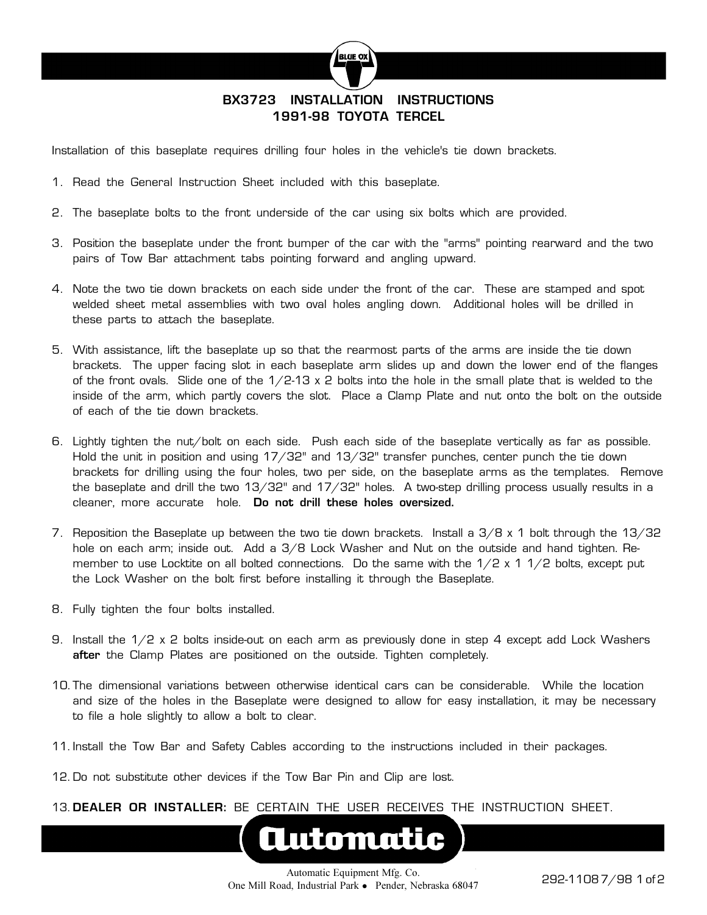

## **BX3723 INSTALLATION INSTRUCTIONS 1991-98 TOYOTA TERCEL**

Installation of this baseplate requires drilling four holes in the vehicle's tie down brackets.

- 1. Read the General Instruction Sheet included with this baseplate.
- 2. The baseplate bolts to the front underside of the car using six bolts which are provided.
- 3. Position the baseplate under the front bumper of the car with the "arms" pointing rearward and the two pairs of Tow Bar attachment tabs pointing forward and angling upward.
- 4. Note the two tie down brackets on each side under the front of the car. These are stamped and spot welded sheet metal assemblies with two oval holes angling down. Additional holes will be drilled in these parts to attach the baseplate.
- 5. With assistance, lift the baseplate up so that the rearmost parts of the arms are inside the tie down brackets. The upper facing slot in each baseplate arm slides up and down the lower end of the flanges of the front ovals. Slide one of the  $1/2-13 \times 2$  bolts into the hole in the small plate that is welded to the inside of the arm, which partly covers the slot. Place a Clamp Plate and nut onto the bolt on the outside of each of the tie down brackets.
- 6. Lightly tighten the nut/bolt on each side. Push each side of the baseplate vertically as far as possible. Hold the unit in position and using 17/32" and 13/32" transfer punches, center punch the tie down brackets for drilling using the four holes, two per side, on the baseplate arms as the templates. Remove the baseplate and drill the two 13/32" and 17/32" holes. A two-step drilling process usually results in a cleaner, more accurate hole. **Do not drill these holes oversized.**
- 7. Reposition the Baseplate up between the two tie down brackets. Install a 3/8 x 1 bolt through the 13/32 hole on each arm; inside out. Add a 3/8 Lock Washer and Nut on the outside and hand tighten. Remember to use Locktite on all bolted connections. Do the same with the  $1/2 \times 1$   $1/2$  bolts, except put the Lock Washer on the bolt first before installing it through the Baseplate.
- 8. Fully tighten the four bolts installed.
- 9. Install the 1/2 x 2 bolts inside-out on each arm as previously done in step 4 except add Lock Washers **after** the Clamp Plates are positioned on the outside. Tighten completely.
- 10. The dimensional variations between otherwise identical cars can be considerable. While the location and size of the holes in the Baseplate were designed to allow for easy installation, it may be necessary to file a hole slightly to allow a bolt to clear.
- 11. Install the Tow Bar and Safety Cables according to the instructions included in their packages.
- 12. Do not substitute other devices if the Tow Bar Pin and Clip are lost.
- 13. **DEALER OR INSTALLER:** BE CERTAIN THE USER RECEIVES THE INSTRUCTION SHEET.



**Automatic**